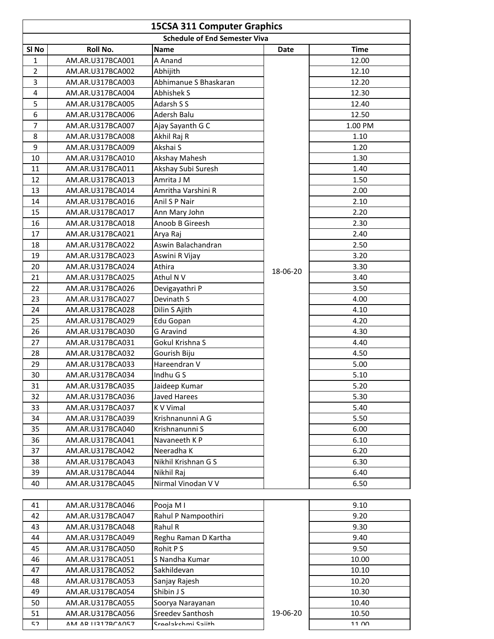| <b>15CSA 311 Computer Graphics</b>   |                   |                       |             |             |  |  |
|--------------------------------------|-------------------|-----------------------|-------------|-------------|--|--|
| <b>Schedule of End Semester Viva</b> |                   |                       |             |             |  |  |
| SI <sub>No</sub>                     | Roll No.          | <b>Name</b>           | <b>Date</b> | <b>Time</b> |  |  |
| 1                                    | AM.AR.U317BCA001  | A Anand               |             | 12.00       |  |  |
| 2                                    | AM.AR.U317BCA002  | Abhijith              |             | 12.10       |  |  |
| 3                                    | AM.AR.U317BCA003  | Abhimanue S Bhaskaran |             | 12.20       |  |  |
| 4                                    | AM.AR.U317BCA004  | Abhishek S            |             | 12.30       |  |  |
| 5                                    | AM.AR.U317BCA005  | Adarsh S S            |             | 12.40       |  |  |
| 6                                    | AM.AR.U317BCA006  | Adersh Balu           |             | 12.50       |  |  |
| $\overline{7}$                       | AM.AR.U317BCA007  | Ajay Sayanth G C      |             | 1.00 PM     |  |  |
| 8                                    | AM.AR.U317BCA008  | Akhil Raj R           |             | 1.10        |  |  |
| 9                                    | AM.AR.U317BCA009  | Akshai S              |             | 1.20        |  |  |
| 10                                   | AM.AR.U317BCA010  | Akshay Mahesh         |             | 1.30        |  |  |
| 11                                   | AM.AR.U317BCA011  | Akshay Subi Suresh    |             | 1.40        |  |  |
| 12                                   | AM.AR.U317BCA013  | Amrita J M            |             | 1.50        |  |  |
| 13                                   | AM.AR.U317BCA014  | Amritha Varshini R    |             | 2.00        |  |  |
| 14                                   | AM.AR.U317BCA016  | Anil S P Nair         |             | 2.10        |  |  |
| 15                                   | AM.AR.U317BCA017  | Ann Mary John         |             | 2.20        |  |  |
| 16                                   | AM.AR.U317BCA018  | Anoob B Gireesh       |             | 2.30        |  |  |
| 17                                   | AM.AR.U317BCA021  | Arya Raj              |             | 2.40        |  |  |
| 18                                   | AM.AR.U317BCA022  | Aswin Balachandran    |             | 2.50        |  |  |
| 19                                   | AM.AR.U317BCA023  | Aswini R Vijay        |             | 3.20        |  |  |
| 20                                   | AM.AR.U317BCA024  | Athira                | 18-06-20    | 3.30        |  |  |
| 21                                   | AM.AR.U317BCA025  | Athul N V             |             | 3.40        |  |  |
| 22                                   | AM.AR.U317BCA026  | Devigayathri P        |             | 3.50        |  |  |
| 23                                   | AM.AR.U317BCA027  | Devinath S            |             | 4.00        |  |  |
| 24                                   | AM.AR.U317BCA028  | Dilin S Ajith         |             | 4.10        |  |  |
| 25                                   | AM.AR.U317BCA029  | Edu Gopan             |             | 4.20        |  |  |
| 26                                   | AM.AR.U317BCA030  | <b>G</b> Aravind      |             | 4.30        |  |  |
| 27                                   | AM.AR.U317BCA031  | Gokul Krishna S       |             | 4.40        |  |  |
| 28                                   | AM.AR.U317BCA032  | Gourish Biju          |             | 4.50        |  |  |
| 29                                   | AM.AR.U317BCA033  | Hareendran V          |             | 5.00        |  |  |
| 30                                   | AM.AR.U317BCA034  | Indhu G S             |             | 5.10        |  |  |
| 31                                   | AM.AR.U317BCA035  | Jaideep Kumar         |             | 5.20        |  |  |
| 32                                   | AM.AR.U317BCA036  | Javed Harees          |             | 5.30        |  |  |
| 33                                   | AM.AR.U317BCA037  | K V Vimal             |             | 5.40        |  |  |
| 34                                   | AM.AR.U317BCA039  | Krishnanunni A G      |             | 5.50        |  |  |
| 35                                   | AM.AR.U317BCA040  | Krishnanunni S        |             | 6.00        |  |  |
| 36                                   | AM.AR.U317BCA041  | Navaneeth KP          |             | 6.10        |  |  |
| 37                                   | AM.AR.U317BCA042  | Neeradha K            |             | 6.20        |  |  |
| 38                                   | AM.AR.U317BCA043  | Nikhil Krishnan G S   |             | 6.30        |  |  |
| 39                                   | AM.AR.U317BCA044  | Nikhil Raj            |             | 6.40        |  |  |
| 40                                   | AM.AR.U317BCA045  | Nirmal Vinodan V V    |             | 6.50        |  |  |
|                                      |                   |                       |             |             |  |  |
| 41                                   | AM.AR.U317BCA046  | Pooja M I             |             | 9.10        |  |  |
| 42                                   | AM.AR.U317BCA047  | Rahul P Nampoothiri   |             | 9.20        |  |  |
| 43                                   | AM.AR.U317BCA048  | Rahul R               |             | 9.30        |  |  |
| 44                                   | AM.AR.U317BCA049  | Reghu Raman D Kartha  |             | 9.40        |  |  |
| 45                                   | AM.AR.U317BCA050  | Rohit P S             |             | 9.50        |  |  |
| 46                                   | AM.AR.U317BCA051  | S Nandha Kumar        |             | 10.00       |  |  |
| 47                                   | AM.AR.U317BCA052  | Sakhildevan           |             | 10.10       |  |  |
| 48                                   | AM.AR.U317BCA053  | Sanjay Rajesh         |             | 10.20       |  |  |
| 49                                   | AM.AR.U317BCA054  | Shibin J S            |             | 10.30       |  |  |
| 50                                   | AM.AR.U317BCA055  | Soorya Narayanan      |             | 10.40       |  |  |
| 51                                   | AM.AR.U317BCA056  | Sreedev Santhosh      | 19-06-20    | 10.50       |  |  |
| 52                                   | AM AR 11217RCAO57 | Sraalakchmi Saiith    |             | 11 NO       |  |  |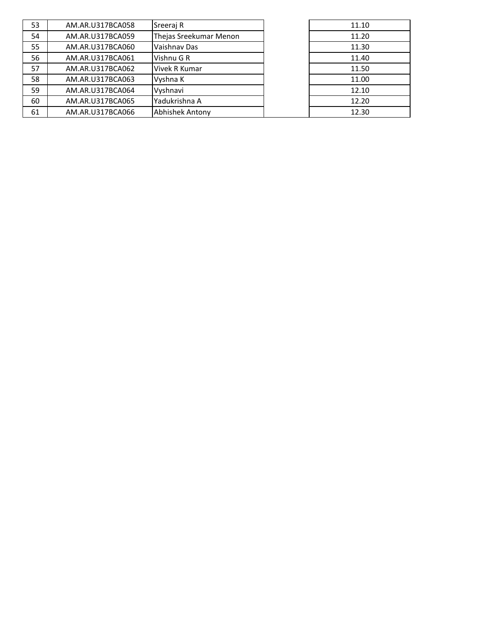| 53 | AM.AR.U317BCA058 | Sreeraj R              | 11.10 |
|----|------------------|------------------------|-------|
| 54 | AM.AR.U317BCA059 | Thejas Sreekumar Menon | 11.20 |
| 55 | AM.AR.U317BCA060 | Vaishnav Das           | 11.30 |
| 56 | AM.AR.U317BCA061 | Vishnu G R             | 11.40 |
| 57 | AM.AR.U317BCA062 | Vivek R Kumar          | 11.50 |
| 58 | AM.AR.U317BCA063 | Vyshna K               | 11.00 |
| 59 | AM.AR.U317BCA064 | Vyshnavi               | 12.10 |
| 60 | AM.AR.U317BCA065 | Yadukrishna A          | 12.20 |
| 61 | AM.AR.U317BCA066 | <b>Abhishek Antony</b> | 12.30 |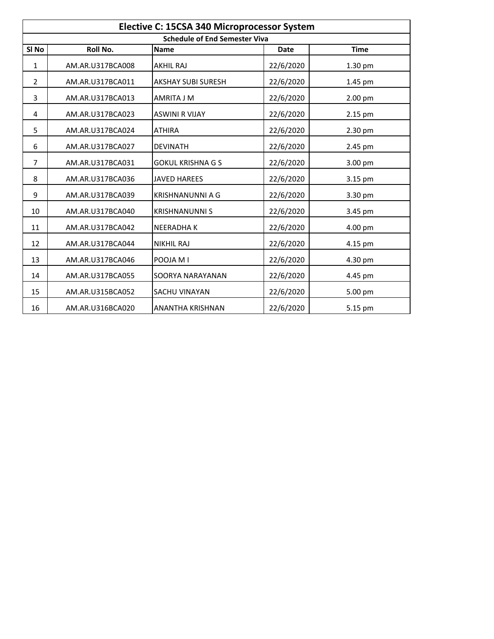| Elective C: 15CSA 340 Microprocessor System |                  |                           |             |             |  |
|---------------------------------------------|------------------|---------------------------|-------------|-------------|--|
| <b>Schedule of End Semester Viva</b>        |                  |                           |             |             |  |
| SI <sub>No</sub>                            | Roll No.         | <b>Name</b>               | <b>Date</b> | <b>Time</b> |  |
| 1                                           | AM.AR.U317BCA008 | <b>AKHIL RAJ</b>          | 22/6/2020   | 1.30 pm     |  |
| 2                                           | AM.AR.U317BCA011 | <b>AKSHAY SUBI SURESH</b> | 22/6/2020   | 1.45 pm     |  |
| 3                                           | AM.AR.U317BCA013 | AMRITA J M                | 22/6/2020   | 2.00 pm     |  |
| 4                                           | AM.AR.U317BCA023 | <b>ASWINI R VIJAY</b>     | 22/6/2020   | 2.15 pm     |  |
| 5                                           | AM.AR.U317BCA024 | <b>ATHIRA</b>             | 22/6/2020   | 2.30 pm     |  |
| 6                                           | AM.AR.U317BCA027 | <b>DEVINATH</b>           | 22/6/2020   | 2.45 pm     |  |
| $\overline{7}$                              | AM.AR.U317BCA031 | <b>GOKUL KRISHNA G S</b>  | 22/6/2020   | 3.00 pm     |  |
| 8                                           | AM.AR.U317BCA036 | <b>JAVED HAREES</b>       | 22/6/2020   | 3.15 pm     |  |
| 9                                           | AM.AR.U317BCA039 | <b>KRISHNANUNNI A G</b>   | 22/6/2020   | 3.30 pm     |  |
| 10                                          | AM.AR.U317BCA040 | <b>KRISHNANUNNI S</b>     | 22/6/2020   | 3.45 pm     |  |
| 11                                          | AM.AR.U317BCA042 | <b>NEERADHAK</b>          | 22/6/2020   | 4.00 pm     |  |
| 12                                          | AM.AR.U317BCA044 | <b>NIKHIL RAJ</b>         | 22/6/2020   | 4.15 pm     |  |
| 13                                          | AM.AR.U317BCA046 | POOJA M I                 | 22/6/2020   | 4.30 pm     |  |
| 14                                          | AM.AR.U317BCA055 | SOORYA NARAYANAN          | 22/6/2020   | 4.45 pm     |  |
| 15                                          | AM.AR.U315BCA052 | SACHU VINAYAN             | 22/6/2020   | 5.00 pm     |  |
| 16                                          | AM.AR.U316BCA020 | ANANTHA KRISHNAN          | 22/6/2020   | 5.15 pm     |  |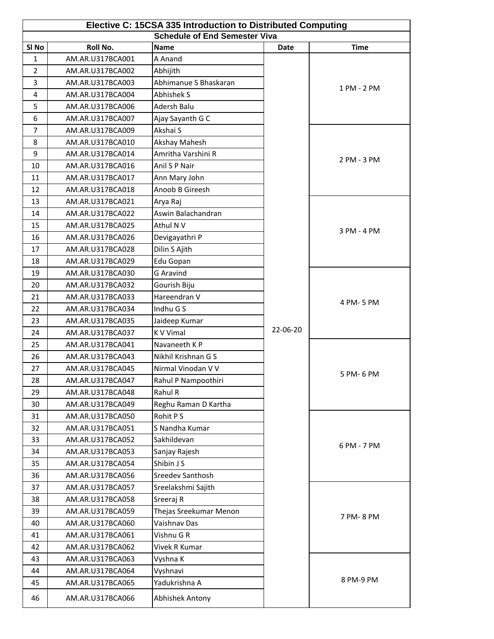| Elective C: 15CSA 335 Introduction to Distributed Computing<br><b>Schedule of End Semester Viva</b> |                  |                              |             |             |  |
|-----------------------------------------------------------------------------------------------------|------------------|------------------------------|-------------|-------------|--|
| SI <sub>No</sub>                                                                                    | Roll No.         | <b>Name</b>                  | <b>Date</b> | <b>Time</b> |  |
| 1                                                                                                   | AM.AR.U317BCA001 | A Anand                      |             |             |  |
| $\overline{2}$                                                                                      | AM.AR.U317BCA002 | Abhijith                     |             |             |  |
| $\overline{3}$                                                                                      | AM.AR.U317BCA003 | Abhimanue S Bhaskaran        |             |             |  |
| 4                                                                                                   | AM.AR.U317BCA004 | Abhishek S                   |             | 1 PM - 2 PM |  |
| 5                                                                                                   | AM.AR.U317BCA006 | Adersh Balu                  |             |             |  |
| 6                                                                                                   | AM.AR.U317BCA007 |                              |             |             |  |
| 7                                                                                                   | AM.AR.U317BCA009 | Ajay Sayanth G C<br>Akshai S |             |             |  |
| 8                                                                                                   | AM.AR.U317BCA010 | Akshay Mahesh                |             |             |  |
| 9                                                                                                   | AM.AR.U317BCA014 | Amritha Varshini R           |             |             |  |
| 10                                                                                                  | AM.AR.U317BCA016 | Anil S P Nair                |             | 2 PM - 3 PM |  |
| 11                                                                                                  | AM.AR.U317BCA017 | Ann Mary John                |             |             |  |
| 12                                                                                                  | AM.AR.U317BCA018 | Anoob B Gireesh              |             |             |  |
| 13                                                                                                  | AM.AR.U317BCA021 | Arya Raj                     |             |             |  |
| 14                                                                                                  | AM.AR.U317BCA022 | Aswin Balachandran           |             |             |  |
| 15                                                                                                  | AM.AR.U317BCA025 | Athul N V                    |             |             |  |
| 16                                                                                                  | AM.AR.U317BCA026 | Devigayathri P               |             | 3 PM - 4 PM |  |
| 17                                                                                                  | AM.AR.U317BCA028 | Dilin S Ajith                |             |             |  |
| 18                                                                                                  | AM.AR.U317BCA029 | Edu Gopan                    |             |             |  |
| 19                                                                                                  | AM.AR.U317BCA030 | <b>G</b> Aravind             |             |             |  |
| 20                                                                                                  | AM.AR.U317BCA032 | Gourish Biju                 |             |             |  |
| 21                                                                                                  | AM.AR.U317BCA033 | Hareendran V                 |             |             |  |
| 22                                                                                                  | AM.AR.U317BCA034 | Indhu G S                    |             | 4 PM-5 PM   |  |
| 23                                                                                                  | AM.AR.U317BCA035 | Jaideep Kumar                |             |             |  |
| 24                                                                                                  | AM.AR.U317BCA037 | K V Vimal                    | 22-06-20    |             |  |
| 25                                                                                                  | AM.AR.U317BCA041 | Navaneeth K P                |             |             |  |
| 26                                                                                                  | AM.AR.U317BCA043 | Nikhil Krishnan G S          |             |             |  |
| 27                                                                                                  | AM.AR.U317BCA045 | Nirmal Vinodan V V           |             |             |  |
| 28                                                                                                  | AM.AR.U317BCA047 | Rahul P Nampoothiri          |             | 5 PM- 6 PM  |  |
| 29                                                                                                  | AM.AR.U317BCA048 | Rahul R                      |             |             |  |
| 30                                                                                                  | AM.AR.U317BCA049 | Reghu Raman D Kartha         |             |             |  |
| 31                                                                                                  | AM.AR.U317BCA050 | Rohit PS                     |             |             |  |
| 32                                                                                                  | AM.AR.U317BCA051 | S Nandha Kumar               |             |             |  |
| 33                                                                                                  | AM.AR.U317BCA052 | Sakhildevan                  |             |             |  |
| 34                                                                                                  | AM.AR.U317BCA053 | Sanjay Rajesh                |             | 6 PM - 7 PM |  |
| 35                                                                                                  | AM.AR.U317BCA054 | Shibin J S                   |             |             |  |
| 36                                                                                                  | AM.AR.U317BCA056 | Sreedev Santhosh             |             |             |  |
| 37                                                                                                  | AM.AR.U317BCA057 | Sreelakshmi Sajith           |             |             |  |
| 38                                                                                                  | AM.AR.U317BCA058 | Sreeraj R                    |             |             |  |
| 39                                                                                                  | AM.AR.U317BCA059 | Thejas Sreekumar Menon       |             |             |  |
| 40                                                                                                  | AM.AR.U317BCA060 | Vaishnav Das                 |             | 7 PM-8 PM   |  |
| 41                                                                                                  | AM.AR.U317BCA061 | Vishnu G R                   |             |             |  |
| 42                                                                                                  | AM.AR.U317BCA062 | Vivek R Kumar                |             |             |  |
| 43                                                                                                  | AM.AR.U317BCA063 | Vyshna K                     |             |             |  |
| 44                                                                                                  | AM.AR.U317BCA064 | Vyshnavi                     |             |             |  |
| 45                                                                                                  | AM.AR.U317BCA065 | Yadukrishna A                |             | 8 PM-9 PM   |  |
| 46                                                                                                  | AM.AR.U317BCA066 | Abhishek Antony              |             |             |  |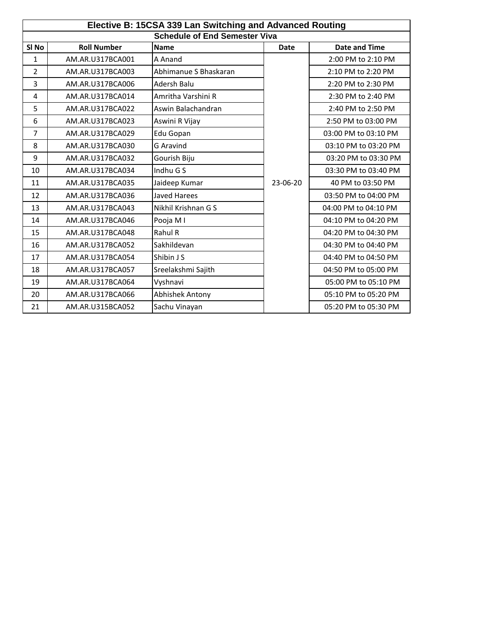| Elective B: 15CSA 339 Lan Switching and Advanced Routing |                    |                       |             |                      |  |
|----------------------------------------------------------|--------------------|-----------------------|-------------|----------------------|--|
| <b>Schedule of End Semester Viva</b>                     |                    |                       |             |                      |  |
| SI <sub>No</sub>                                         | <b>Roll Number</b> | <b>Name</b>           | <b>Date</b> | <b>Date and Time</b> |  |
| 1                                                        | AM.AR.U317BCA001   | A Anand               |             | 2:00 PM to 2:10 PM   |  |
| $\overline{2}$                                           | AM.AR.U317BCA003   | Abhimanue S Bhaskaran |             | 2:10 PM to 2:20 PM   |  |
| 3                                                        | AM.AR.U317BCA006   | Adersh Balu           |             | 2:20 PM to 2:30 PM   |  |
| 4                                                        | AM.AR.U317BCA014   | Amritha Varshini R    |             | 2:30 PM to 2:40 PM   |  |
| 5                                                        | AM.AR.U317BCA022   | Aswin Balachandran    |             | 2:40 PM to 2:50 PM   |  |
| 6                                                        | AM.AR.U317BCA023   | Aswini R Vijay        |             | 2:50 PM to 03:00 PM  |  |
| 7                                                        | AM.AR.U317BCA029   | Edu Gopan             |             | 03:00 PM to 03:10 PM |  |
| 8                                                        | AM.AR.U317BCA030   | <b>G</b> Aravind      |             | 03:10 PM to 03:20 PM |  |
| 9                                                        | AM.AR.U317BCA032   | Gourish Biju          |             | 03:20 PM to 03:30 PM |  |
| 10                                                       | AM.AR.U317BCA034   | Indhu G S             |             | 03:30 PM to 03:40 PM |  |
| 11                                                       | AM.AR.U317BCA035   | Jaideep Kumar         | 23-06-20    | 40 PM to 03:50 PM    |  |
| 12                                                       | AM.AR.U317BCA036   | <b>Javed Harees</b>   |             | 03:50 PM to 04:00 PM |  |
| 13                                                       | AM.AR.U317BCA043   | Nikhil Krishnan G S   |             | 04:00 PM to 04:10 PM |  |
| 14                                                       | AM.AR.U317BCA046   | Pooja MI              |             | 04:10 PM to 04:20 PM |  |
| 15                                                       | AM.AR.U317BCA048   | Rahul R               |             | 04:20 PM to 04:30 PM |  |
| 16                                                       | AM.AR.U317BCA052   | Sakhildevan           |             | 04:30 PM to 04:40 PM |  |
| 17                                                       | AM.AR.U317BCA054   | Shibin J S            |             | 04:40 PM to 04:50 PM |  |
| 18                                                       | AM.AR.U317BCA057   | Sreelakshmi Sajith    |             | 04:50 PM to 05:00 PM |  |
| 19                                                       | AM.AR.U317BCA064   | Vyshnavi              |             | 05:00 PM to 05:10 PM |  |
| 20                                                       | AM.AR.U317BCA066   | Abhishek Antony       |             | 05:10 PM to 05:20 PM |  |
| 21                                                       | AM.AR.U315BCA052   | Sachu Vinayan         |             | 05:20 PM to 05:30 PM |  |